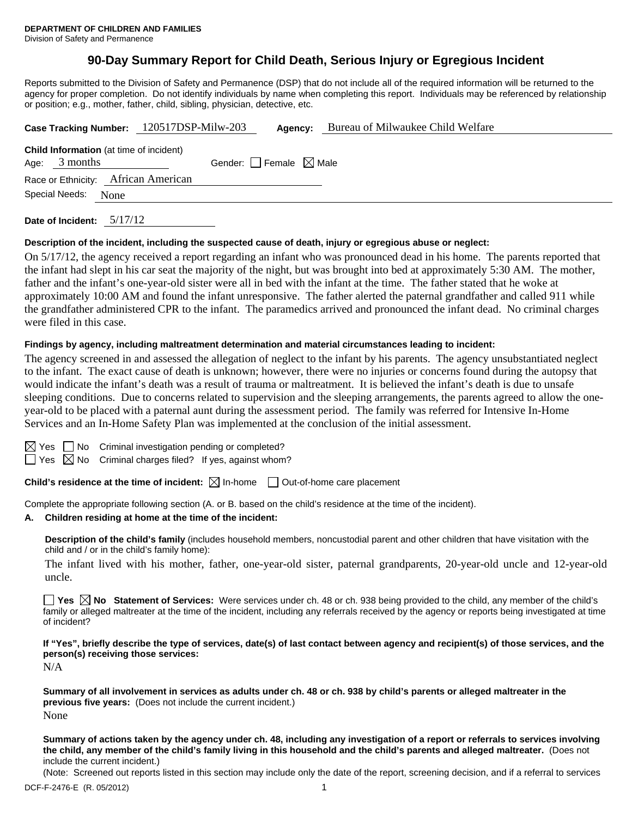# **90-Day Summary Report for Child Death, Serious Injury or Egregious Incident**

Reports submitted to the Division of Safety and Permanence (DSP) that do not include all of the required information will be returned to the agency for proper completion. Do not identify individuals by name when completing this report. Individuals may be referenced by relationship or position; e.g., mother, father, child, sibling, physician, detective, etc.

|                 |                     | Case Tracking Number: 120517DSP-Milw-203       |                                 | Agency: | Bureau of Milwaukee Child Welfare |
|-----------------|---------------------|------------------------------------------------|---------------------------------|---------|-----------------------------------|
| Age: $3$ months |                     | <b>Child Information</b> (at time of incident) | Gender: Female $\boxtimes$ Male |         |                                   |
|                 |                     | Race or Ethnicity: African American            |                                 |         |                                   |
|                 | Special Needs: None |                                                |                                 |         |                                   |
|                 |                     |                                                |                                 |         |                                   |

**Date of Incident:** 5/17/12

#### **Description of the incident, including the suspected cause of death, injury or egregious abuse or neglect:**

On 5/17/12, the agency received a report regarding an infant who was pronounced dead in his home. The parents reported that the infant had slept in his car seat the majority of the night, but was brought into bed at approximately 5:30 AM. The mother, father and the infant's one-year-old sister were all in bed with the infant at the time. The father stated that he woke at approximately 10:00 AM and found the infant unresponsive. The father alerted the paternal grandfather and called 911 while the grandfather administered CPR to the infant. The paramedics arrived and pronounced the infant dead. No criminal charges were filed in this case.

#### **Findings by agency, including maltreatment determination and material circumstances leading to incident:**

The agency screened in and assessed the allegation of neglect to the infant by his parents. The agency unsubstantiated neglect to the infant. The exact cause of death is unknown; however, there were no injuries or concerns found during the autopsy that would indicate the infant's death was a result of trauma or maltreatment. It is believed the infant's death is due to unsafe sleeping conditions. Due to concerns related to supervision and the sleeping arrangements, the parents agreed to allow the oneyear-old to be placed with a paternal aunt during the assessment period. The family was referred for Intensive In-Home Services and an In-Home Safety Plan was implemented at the conclusion of the initial assessment.

 $\Box$  No Criminal investigation pending or completed?

 $\Box$  Yes  $\boxtimes$  No Criminal charges filed? If yes, against whom?

**Child's residence at the time of incident:**  $\boxtimes$  In-home  $\Box$  Out-of-home care placement

Complete the appropriate following section (A. or B. based on the child's residence at the time of the incident).

#### **A. Children residing at home at the time of the incident:**

**Description of the child's family** (includes household members, noncustodial parent and other children that have visitation with the child and / or in the child's family home):

The infant lived with his mother, father, one-year-old sister, paternal grandparents, 20-year-old uncle and 12-year-old uncle.

**Yes No Statement of Services:** Were services under ch. 48 or ch. 938 being provided to the child, any member of the child's family or alleged maltreater at the time of the incident, including any referrals received by the agency or reports being investigated at time of incident?

**If "Yes", briefly describe the type of services, date(s) of last contact between agency and recipient(s) of those services, and the person(s) receiving those services:** 

N/A

**Summary of all involvement in services as adults under ch. 48 or ch. 938 by child's parents or alleged maltreater in the previous five years:** (Does not include the current incident.) None

**Summary of actions taken by the agency under ch. 48, including any investigation of a report or referrals to services involving the child, any member of the child's family living in this household and the child's parents and alleged maltreater.** (Does not include the current incident.)

(Note: Screened out reports listed in this section may include only the date of the report, screening decision, and if a referral to services